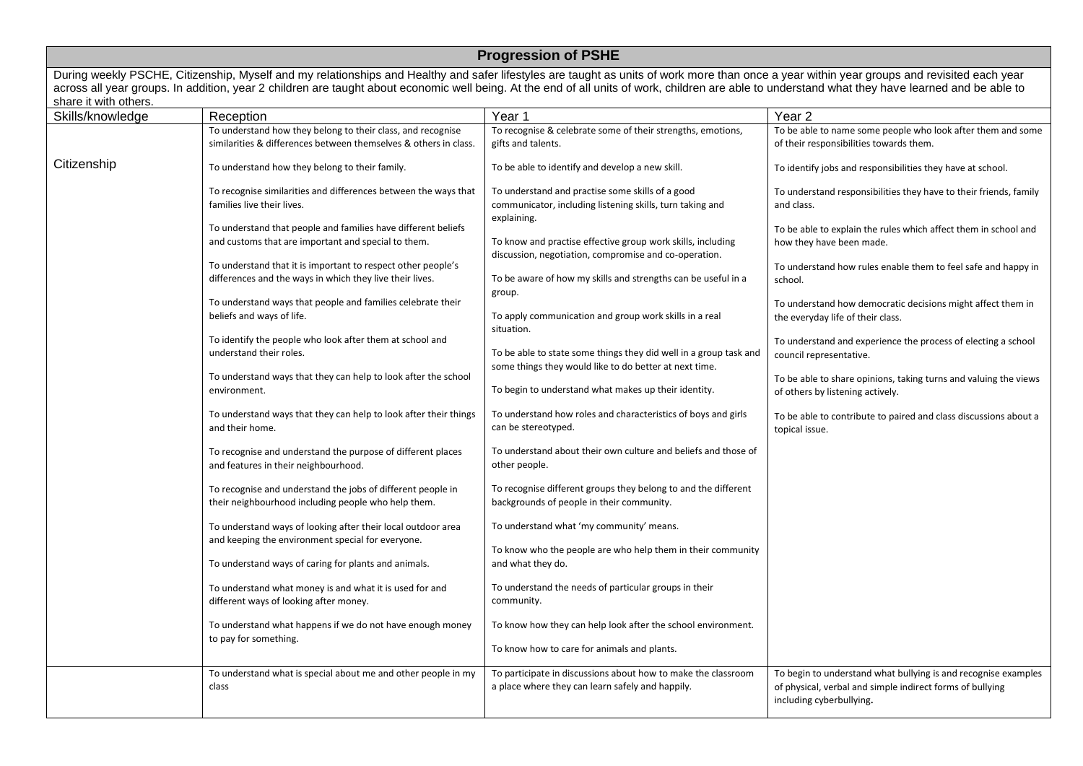| <b>Progression of PSHE</b>                                                                                                                                                                                                                                                                                                                                                                                                |                                                                                                                                 |                                                                                                                              |                                                                                                                                                         |  |
|---------------------------------------------------------------------------------------------------------------------------------------------------------------------------------------------------------------------------------------------------------------------------------------------------------------------------------------------------------------------------------------------------------------------------|---------------------------------------------------------------------------------------------------------------------------------|------------------------------------------------------------------------------------------------------------------------------|---------------------------------------------------------------------------------------------------------------------------------------------------------|--|
| During weekly PSCHE, Citizenship, Myself and my relationships and Healthy and safer lifestyles are taught as units of work more than once a year within year groups and revisited each year<br>across all year groups. In addition, year 2 children are taught about economic well being. At the end of all units of work, children are able to understand what they have learned and be able to<br>share it with others. |                                                                                                                                 |                                                                                                                              |                                                                                                                                                         |  |
| Skills/knowledge                                                                                                                                                                                                                                                                                                                                                                                                          | Reception                                                                                                                       | Year 1                                                                                                                       | Year 2                                                                                                                                                  |  |
|                                                                                                                                                                                                                                                                                                                                                                                                                           | To understand how they belong to their class, and recognise<br>similarities & differences between themselves & others in class. | To recognise & celebrate some of their strengths, emotions,<br>gifts and talents.                                            | To be able to name some people who look after them and some<br>of their responsibilities towards them.                                                  |  |
| Citizenship                                                                                                                                                                                                                                                                                                                                                                                                               | To understand how they belong to their family.                                                                                  | To be able to identify and develop a new skill.                                                                              | To identify jobs and responsibilities they have at school.                                                                                              |  |
|                                                                                                                                                                                                                                                                                                                                                                                                                           | To recognise similarities and differences between the ways that<br>families live their lives.                                   | To understand and practise some skills of a good<br>communicator, including listening skills, turn taking and<br>explaining. | To understand responsibilities they have to their friends, family<br>and class.                                                                         |  |
|                                                                                                                                                                                                                                                                                                                                                                                                                           | To understand that people and families have different beliefs<br>and customs that are important and special to them.            | To know and practise effective group work skills, including<br>discussion, negotiation, compromise and co-operation.         | To be able to explain the rules which affect them in school and<br>how they have been made.                                                             |  |
|                                                                                                                                                                                                                                                                                                                                                                                                                           | To understand that it is important to respect other people's<br>differences and the ways in which they live their lives.        | To be aware of how my skills and strengths can be useful in a<br>group.                                                      | To understand how rules enable them to feel safe and happy in<br>school.                                                                                |  |
|                                                                                                                                                                                                                                                                                                                                                                                                                           | To understand ways that people and families celebrate their<br>beliefs and ways of life.                                        | To apply communication and group work skills in a real<br>situation.                                                         | To understand how democratic decisions might affect them in<br>the everyday life of their class.                                                        |  |
|                                                                                                                                                                                                                                                                                                                                                                                                                           | To identify the people who look after them at school and<br>understand their roles.                                             | To be able to state some things they did well in a group task and<br>some things they would like to do better at next time.  | To understand and experience the process of electing a school<br>council representative.                                                                |  |
|                                                                                                                                                                                                                                                                                                                                                                                                                           | To understand ways that they can help to look after the school<br>environment.                                                  | To begin to understand what makes up their identity.                                                                         | To be able to share opinions, taking turns and valuing the views<br>of others by listening actively.                                                    |  |
|                                                                                                                                                                                                                                                                                                                                                                                                                           | To understand ways that they can help to look after their things<br>and their home.                                             | To understand how roles and characteristics of boys and girls<br>can be stereotyped.                                         | To be able to contribute to paired and class discussions about a<br>topical issue.                                                                      |  |
|                                                                                                                                                                                                                                                                                                                                                                                                                           | To recognise and understand the purpose of different places<br>and features in their neighbourhood.                             | To understand about their own culture and beliefs and those of<br>other people.                                              |                                                                                                                                                         |  |
|                                                                                                                                                                                                                                                                                                                                                                                                                           | To recognise and understand the jobs of different people in<br>their neighbourhood including people who help them.              | To recognise different groups they belong to and the different<br>backgrounds of people in their community.                  |                                                                                                                                                         |  |
|                                                                                                                                                                                                                                                                                                                                                                                                                           | To understand ways of looking after their local outdoor area<br>and keeping the environment special for everyone.               | To understand what 'my community' means.<br>To know who the people are who help them in their community                      |                                                                                                                                                         |  |
|                                                                                                                                                                                                                                                                                                                                                                                                                           | To understand ways of caring for plants and animals.                                                                            | and what they do.                                                                                                            |                                                                                                                                                         |  |
|                                                                                                                                                                                                                                                                                                                                                                                                                           | To understand what money is and what it is used for and<br>different ways of looking after money.                               | To understand the needs of particular groups in their<br>community.                                                          |                                                                                                                                                         |  |
|                                                                                                                                                                                                                                                                                                                                                                                                                           | To understand what happens if we do not have enough money<br>to pay for something.                                              | To know how they can help look after the school environment.                                                                 |                                                                                                                                                         |  |
|                                                                                                                                                                                                                                                                                                                                                                                                                           |                                                                                                                                 | To know how to care for animals and plants.                                                                                  |                                                                                                                                                         |  |
|                                                                                                                                                                                                                                                                                                                                                                                                                           | To understand what is special about me and other people in my<br>class                                                          | To participate in discussions about how to make the classroom<br>a place where they can learn safely and happily.            | To begin to understand what bullying is and recognise examples<br>of physical, verbal and simple indirect forms of bullying<br>including cyberbullying. |  |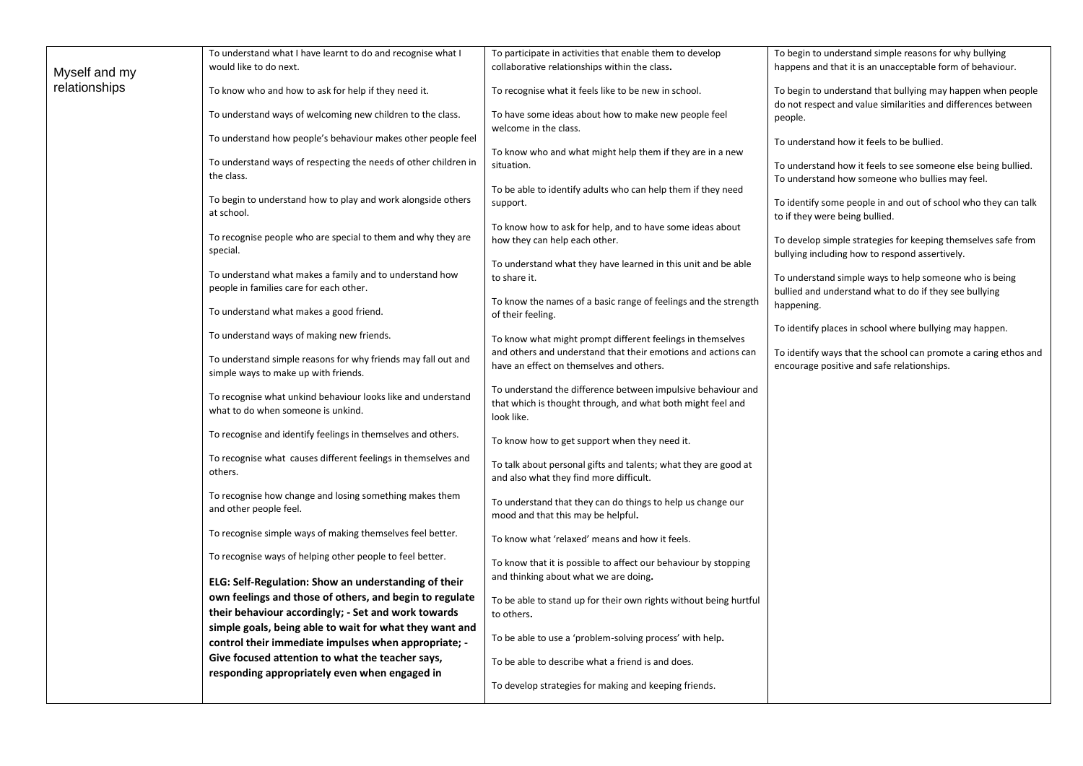|               | To understand what I have learnt to do and recognise what I                                        | To participate in activities that enable them to develop          | To begin to understand simple reasons for why bullying          |
|---------------|----------------------------------------------------------------------------------------------------|-------------------------------------------------------------------|-----------------------------------------------------------------|
| Myself and my | would like to do next.                                                                             | collaborative relationships within the class.                     | happens and that it is an unacceptable form of behaviour.       |
| relationships |                                                                                                    |                                                                   |                                                                 |
|               | To know who and how to ask for help if they need it.                                               | To recognise what it feels like to be new in school.              | To begin to understand that bullying may happen when people     |
|               | To understand ways of welcoming new children to the class.                                         | To have some ideas about how to make new people feel              | do not respect and value similarities and differences between   |
|               |                                                                                                    | welcome in the class.                                             | people.                                                         |
|               | To understand how people's behaviour makes other people feel                                       |                                                                   | To understand how it feels to be bullied.                       |
|               |                                                                                                    | To know who and what might help them if they are in a new         |                                                                 |
|               | To understand ways of respecting the needs of other children in                                    | situation.                                                        | To understand how it feels to see someone else being bullied.   |
|               | the class.                                                                                         |                                                                   | To understand how someone who bullies may feel.                 |
|               | To begin to understand how to play and work alongside others                                       | To be able to identify adults who can help them if they need      |                                                                 |
|               | at school.                                                                                         | support.                                                          | To identify some people in and out of school who they can talk  |
|               |                                                                                                    | To know how to ask for help, and to have some ideas about         | to if they were being bullied.                                  |
|               | To recognise people who are special to them and why they are                                       | how they can help each other.                                     | To develop simple strategies for keeping themselves safe from   |
|               | special.                                                                                           |                                                                   | bullying including how to respond assertively.                  |
|               |                                                                                                    | To understand what they have learned in this unit and be able     |                                                                 |
|               | To understand what makes a family and to understand how                                            | to share it.                                                      | To understand simple ways to help someone who is being          |
|               | people in families care for each other.                                                            |                                                                   | bullied and understand what to do if they see bullying          |
|               |                                                                                                    | To know the names of a basic range of feelings and the strength   | happening.                                                      |
|               | To understand what makes a good friend.                                                            | of their feeling.                                                 |                                                                 |
|               | To understand ways of making new friends.                                                          | To know what might prompt different feelings in themselves        | To identify places in school where bullying may happen.         |
|               |                                                                                                    | and others and understand that their emotions and actions can     | To identify ways that the school can promote a caring ethos and |
|               | To understand simple reasons for why friends may fall out and                                      | have an effect on themselves and others.                          | encourage positive and safe relationships.                      |
|               | simple ways to make up with friends.                                                               |                                                                   |                                                                 |
|               |                                                                                                    | To understand the difference between impulsive behaviour and      |                                                                 |
|               | To recognise what unkind behaviour looks like and understand<br>what to do when someone is unkind. | that which is thought through, and what both might feel and       |                                                                 |
|               |                                                                                                    | look like.                                                        |                                                                 |
|               | To recognise and identify feelings in themselves and others.                                       |                                                                   |                                                                 |
|               |                                                                                                    | To know how to get support when they need it.                     |                                                                 |
|               | To recognise what causes different feelings in themselves and                                      | To talk about personal gifts and talents; what they are good at   |                                                                 |
|               | others.                                                                                            | and also what they find more difficult.                           |                                                                 |
|               | To recognise how change and losing something makes them                                            |                                                                   |                                                                 |
|               | and other people feel.                                                                             | To understand that they can do things to help us change our       |                                                                 |
|               |                                                                                                    | mood and that this may be helpful.                                |                                                                 |
|               | To recognise simple ways of making themselves feel better.                                         | To know what 'relaxed' means and how it feels.                    |                                                                 |
|               |                                                                                                    |                                                                   |                                                                 |
|               | To recognise ways of helping other people to feel better.                                          | To know that it is possible to affect our behaviour by stopping   |                                                                 |
|               | ELG: Self-Regulation: Show an understanding of their                                               | and thinking about what we are doing.                             |                                                                 |
|               | own feelings and those of others, and begin to regulate                                            |                                                                   |                                                                 |
|               |                                                                                                    | To be able to stand up for their own rights without being hurtful |                                                                 |
|               | their behaviour accordingly; - Set and work towards                                                | to others.                                                        |                                                                 |
|               | simple goals, being able to wait for what they want and                                            | To be able to use a 'problem-solving process' with help.          |                                                                 |
|               | control their immediate impulses when appropriate; -                                               |                                                                   |                                                                 |
|               | Give focused attention to what the teacher says,                                                   | To be able to describe what a friend is and does.                 |                                                                 |
|               | responding appropriately even when engaged in                                                      |                                                                   |                                                                 |
|               |                                                                                                    | To develop strategies for making and keeping friends.             |                                                                 |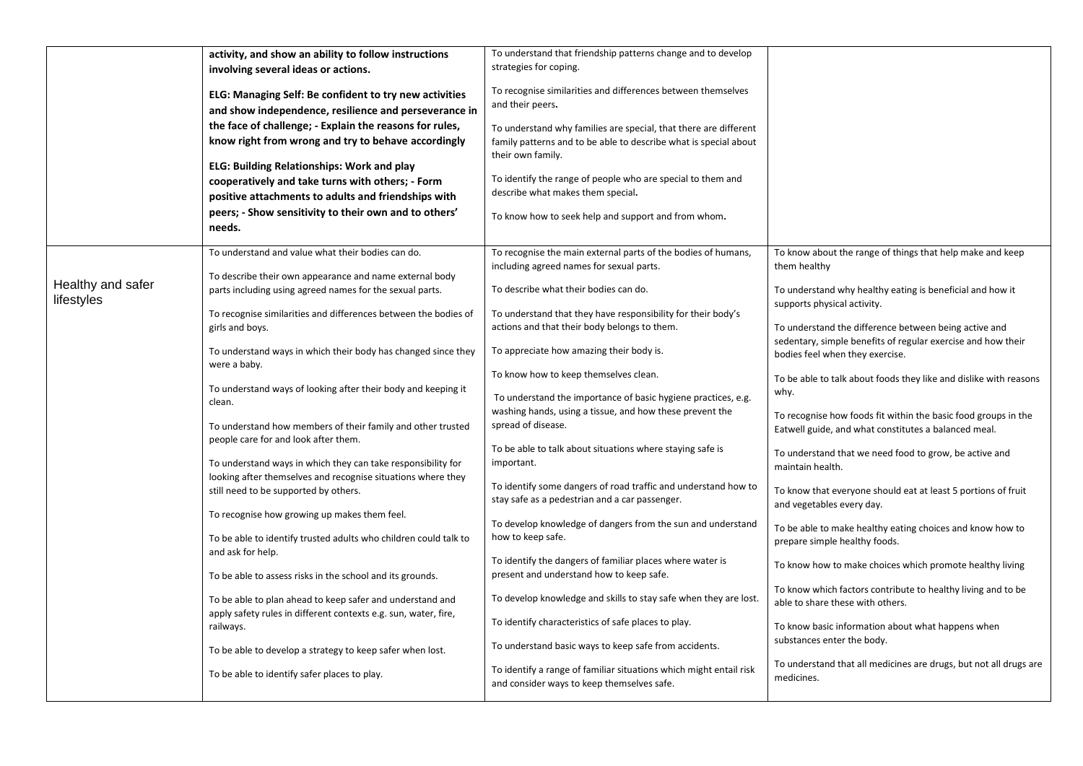|                   | activity, and show an ability to follow instructions                                                                         | To understand that friendship patterns change and to develop            |                                                                   |
|-------------------|------------------------------------------------------------------------------------------------------------------------------|-------------------------------------------------------------------------|-------------------------------------------------------------------|
|                   | involving several ideas or actions.                                                                                          | strategies for coping.                                                  |                                                                   |
|                   | ELG: Managing Self: Be confident to try new activities                                                                       | To recognise similarities and differences between themselves            |                                                                   |
|                   | and show independence, resilience and perseverance in                                                                        | and their peers.                                                        |                                                                   |
|                   | the face of challenge; - Explain the reasons for rules,                                                                      |                                                                         |                                                                   |
|                   |                                                                                                                              | To understand why families are special, that there are different        |                                                                   |
|                   | know right from wrong and try to behave accordingly                                                                          | family patterns and to be able to describe what is special about        |                                                                   |
|                   | <b>ELG: Building Relationships: Work and play</b>                                                                            | their own family.                                                       |                                                                   |
|                   | cooperatively and take turns with others; - Form                                                                             | To identify the range of people who are special to them and             |                                                                   |
|                   |                                                                                                                              | describe what makes them special.                                       |                                                                   |
|                   | positive attachments to adults and friendships with                                                                          |                                                                         |                                                                   |
|                   | peers; - Show sensitivity to their own and to others'                                                                        | To know how to seek help and support and from whom.                     |                                                                   |
|                   | needs.                                                                                                                       |                                                                         |                                                                   |
|                   | To understand and value what their bodies can do.                                                                            | To recognise the main external parts of the bodies of humans,           | To know about the range of things that help make and keep         |
|                   |                                                                                                                              | including agreed names for sexual parts.                                | them healthy                                                      |
| Healthy and safer | To describe their own appearance and name external body                                                                      |                                                                         |                                                                   |
| lifestyles        | parts including using agreed names for the sexual parts.                                                                     | To describe what their bodies can do.                                   | To understand why healthy eating is beneficial and how it         |
|                   | To recognise similarities and differences between the bodies of                                                              | To understand that they have responsibility for their body's            | supports physical activity.                                       |
|                   | girls and boys.                                                                                                              | actions and that their body belongs to them.                            | To understand the difference between being active and             |
|                   |                                                                                                                              |                                                                         | sedentary, simple benefits of regular exercise and how their      |
|                   | To understand ways in which their body has changed since they                                                                | To appreciate how amazing their body is.                                | bodies feel when they exercise.                                   |
|                   | were a baby.                                                                                                                 | To know how to keep themselves clean.                                   |                                                                   |
|                   | To understand ways of looking after their body and keeping it                                                                |                                                                         | To be able to talk about foods they like and dislike with reasons |
|                   | clean.                                                                                                                       | To understand the importance of basic hygiene practices, e.g.           | why.                                                              |
|                   |                                                                                                                              | washing hands, using a tissue, and how these prevent the                | To recognise how foods fit within the basic food groups in the    |
|                   | To understand how members of their family and other trusted                                                                  | spread of disease.                                                      | Eatwell guide, and what constitutes a balanced meal.              |
|                   | people care for and look after them.                                                                                         |                                                                         |                                                                   |
|                   |                                                                                                                              | To be able to talk about situations where staying safe is<br>important. | To understand that we need food to grow, be active and            |
|                   | To understand ways in which they can take responsibility for<br>looking after themselves and recognise situations where they |                                                                         | maintain health.                                                  |
|                   | still need to be supported by others.                                                                                        | To identify some dangers of road traffic and understand how to          | To know that everyone should eat at least 5 portions of fruit     |
|                   |                                                                                                                              | stay safe as a pedestrian and a car passenger.                          | and vegetables every day.                                         |
|                   | To recognise how growing up makes them feel.                                                                                 |                                                                         |                                                                   |
|                   |                                                                                                                              | To develop knowledge of dangers from the sun and understand             | To be able to make healthy eating choices and know how to         |
|                   | To be able to identify trusted adults who children could talk to                                                             | how to keep safe.                                                       | prepare simple healthy foods.                                     |
|                   | and ask for help.                                                                                                            | To identify the dangers of familiar places where water is               | To know how to make choices which promote healthy living          |
|                   | To be able to assess risks in the school and its grounds.                                                                    | present and understand how to keep safe.                                |                                                                   |
|                   |                                                                                                                              |                                                                         | To know which factors contribute to healthy living and to be      |
|                   | To be able to plan ahead to keep safer and understand and                                                                    | To develop knowledge and skills to stay safe when they are lost.        | able to share these with others.                                  |
|                   | apply safety rules in different contexts e.g. sun, water, fire,                                                              | To identify characteristics of safe places to play.                     |                                                                   |
|                   | railways.                                                                                                                    |                                                                         | To know basic information about what happens when                 |
|                   | To be able to develop a strategy to keep safer when lost.                                                                    | To understand basic ways to keep safe from accidents.                   | substances enter the body.                                        |
|                   |                                                                                                                              |                                                                         | To understand that all medicines are drugs, but not all drugs are |
|                   | To be able to identify safer places to play.                                                                                 | To identify a range of familiar situations which might entail risk      | medicines.                                                        |
|                   |                                                                                                                              | and consider ways to keep themselves safe.                              |                                                                   |
|                   |                                                                                                                              |                                                                         |                                                                   |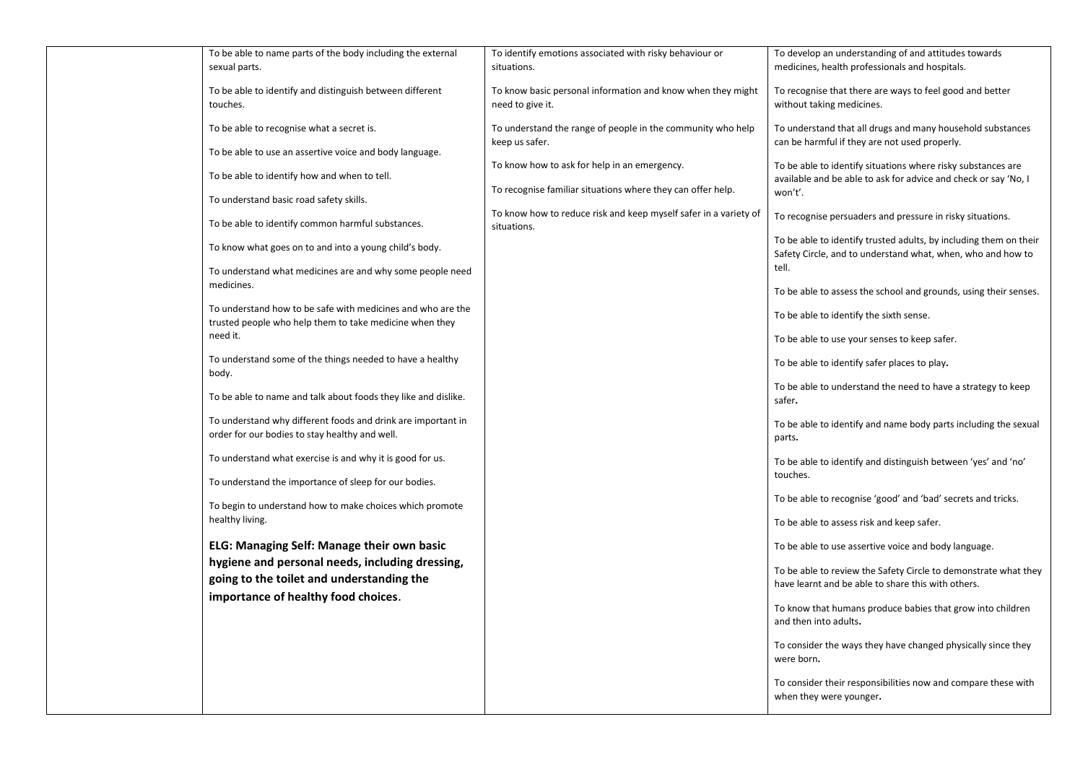| To be able to name parts of the body including the external<br>sexual parts.                                           | To identify emotions associated with risky behaviour or<br>situations.          | To develop an understanding of and attitudes towards<br>medicines, health professionals and hospitals.                                    |
|------------------------------------------------------------------------------------------------------------------------|---------------------------------------------------------------------------------|-------------------------------------------------------------------------------------------------------------------------------------------|
| To be able to identify and distinguish between different<br>touches.                                                   | To know basic personal information and know when they might<br>need to give it. | To recognise that there are ways to feel good and better<br>without taking medicines.                                                     |
| To be able to recognise what a secret is.                                                                              | To understand the range of people in the community who help<br>keep us safer.   | To understand that all drugs and many household substances<br>can be harmful if they are not used properly.                               |
| To be able to use an assertive voice and body language.<br>To be able to identify how and when to tell.                | To know how to ask for help in an emergency.                                    | To be able to identify situations where risky substances are                                                                              |
| To understand basic road safety skills.                                                                                | To recognise familiar situations where they can offer help.                     | available and be able to ask for advice and check or say 'No, I<br>won't'.                                                                |
| To be able to identify common harmful substances.                                                                      | To know how to reduce risk and keep myself safer in a variety of<br>situations. | To recognise persuaders and pressure in risky situations.                                                                                 |
| To know what goes on to and into a young child's body.                                                                 |                                                                                 | To be able to identify trusted adults, by including them on their<br>Safety Circle, and to understand what, when, who and how to<br>tell. |
| To understand what medicines are and why some people need<br>medicines.                                                |                                                                                 | To be able to assess the school and grounds, using their senses.                                                                          |
| To understand how to be safe with medicines and who are the<br>trusted people who help them to take medicine when they |                                                                                 | To be able to identify the sixth sense.                                                                                                   |
| need it.                                                                                                               |                                                                                 | To be able to use your senses to keep safer.                                                                                              |
| To understand some of the things needed to have a healthy<br>body.                                                     |                                                                                 | To be able to identify safer places to play.                                                                                              |
| To be able to name and talk about foods they like and dislike.                                                         |                                                                                 | To be able to understand the need to have a strategy to keep<br>safer.                                                                    |
| To understand why different foods and drink are important in<br>order for our bodies to stay healthy and well.         |                                                                                 | To be able to identify and name body parts including the sexual<br>parts.                                                                 |
| To understand what exercise is and why it is good for us.                                                              |                                                                                 | To be able to identify and distinguish between 'yes' and 'no'<br>touches.                                                                 |
| To understand the importance of sleep for our bodies.                                                                  |                                                                                 | To be able to recognise 'good' and 'bad' secrets and tricks.                                                                              |
| To begin to understand how to make choices which promote<br>healthy living.                                            |                                                                                 | To be able to assess risk and keep safer.                                                                                                 |
| ELG: Managing Self: Manage their own basic<br>hygiene and personal needs, including dressing,                          |                                                                                 | To be able to use assertive voice and body language.                                                                                      |
| going to the toilet and understanding the                                                                              |                                                                                 | To be able to review the Safety Circle to demonstrate what they<br>have learnt and be able to share this with others.                     |
| importance of healthy food choices.                                                                                    |                                                                                 | To know that humans produce babies that grow into children<br>and then into adults.                                                       |
|                                                                                                                        |                                                                                 | To consider the ways they have changed physically since they<br>were born.                                                                |
|                                                                                                                        |                                                                                 | To consider their responsibilities now and compare these with<br>when they were younger.                                                  |